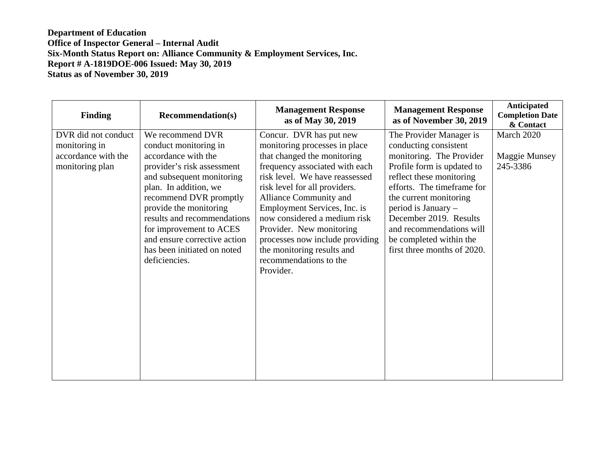| <b>Finding</b>      | <b>Recommendation(s)</b>     | <b>Management Response</b><br>as of May 30, 2019 | <b>Management Response</b><br>as of November 30, 2019 | Anticipated<br><b>Completion Date</b><br>& Contact |
|---------------------|------------------------------|--------------------------------------------------|-------------------------------------------------------|----------------------------------------------------|
| DVR did not conduct | We recommend DVR             | Concur. DVR has put new                          | The Provider Manager is                               | March 2020                                         |
| monitoring in       | conduct monitoring in        | monitoring processes in place                    | conducting consistent                                 |                                                    |
| accordance with the | accordance with the          | that changed the monitoring                      | monitoring. The Provider                              | <b>Maggie Munsey</b>                               |
| monitoring plan     | provider's risk assessment   | frequency associated with each                   | Profile form is updated to                            | 245-3386                                           |
|                     | and subsequent monitoring    | risk level. We have reassessed                   | reflect these monitoring                              |                                                    |
|                     | plan. In addition, we        | risk level for all providers.                    | efforts. The timeframe for                            |                                                    |
|                     | recommend DVR promptly       | Alliance Community and                           | the current monitoring                                |                                                    |
|                     | provide the monitoring       | Employment Services, Inc. is                     | period is January -                                   |                                                    |
|                     | results and recommendations  | now considered a medium risk                     | December 2019. Results                                |                                                    |
|                     | for improvement to ACES      | Provider. New monitoring                         | and recommendations will                              |                                                    |
|                     | and ensure corrective action | processes now include providing                  | be completed within the                               |                                                    |
|                     | has been initiated on noted  | the monitoring results and                       | first three months of 2020.                           |                                                    |
|                     | deficiencies.                | recommendations to the                           |                                                       |                                                    |
|                     |                              | Provider.                                        |                                                       |                                                    |
|                     |                              |                                                  |                                                       |                                                    |
|                     |                              |                                                  |                                                       |                                                    |
|                     |                              |                                                  |                                                       |                                                    |
|                     |                              |                                                  |                                                       |                                                    |
|                     |                              |                                                  |                                                       |                                                    |
|                     |                              |                                                  |                                                       |                                                    |
|                     |                              |                                                  |                                                       |                                                    |
|                     |                              |                                                  |                                                       |                                                    |
|                     |                              |                                                  |                                                       |                                                    |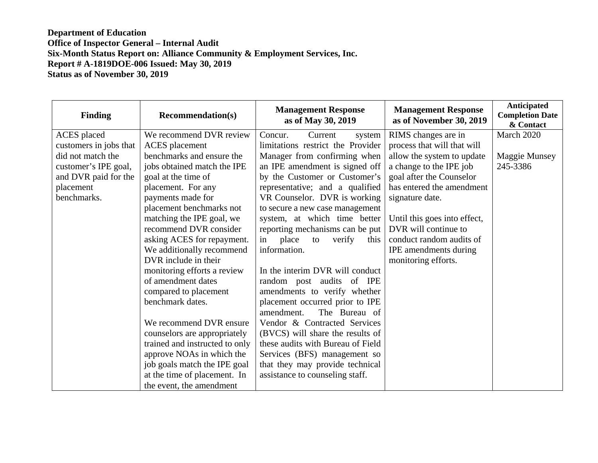| <b>Finding</b>         | <b>Recommendation(s)</b>       | <b>Management Response</b><br>as of May 30, 2019 | <b>Management Response</b><br>as of November 30, 2019 | <b>Anticipated</b><br><b>Completion Date</b><br>& Contact |
|------------------------|--------------------------------|--------------------------------------------------|-------------------------------------------------------|-----------------------------------------------------------|
| <b>ACES</b> placed     | We recommend DVR review        | Concur.<br>Current<br>system                     | RIMS changes are in                                   | March 2020                                                |
| customers in jobs that | <b>ACES</b> placement          | limitations restrict the Provider                | process that will that will                           |                                                           |
| did not match the      | benchmarks and ensure the      | Manager from confirming when                     | allow the system to update                            | Maggie Munsey                                             |
| customer's IPE goal,   | jobs obtained match the IPE    | an IPE amendment is signed off                   | a change to the IPE job                               | 245-3386                                                  |
| and DVR paid for the   | goal at the time of            | by the Customer or Customer's                    | goal after the Counselor                              |                                                           |
| placement              | placement. For any             | representative; and a qualified                  | has entered the amendment                             |                                                           |
| benchmarks.            | payments made for              | VR Counselor. DVR is working                     | signature date.                                       |                                                           |
|                        | placement benchmarks not       | to secure a new case management                  |                                                       |                                                           |
|                        | matching the IPE goal, we      | system, at which time better                     | Until this goes into effect,                          |                                                           |
|                        | recommend DVR consider         | reporting mechanisms can be put                  | DVR will continue to                                  |                                                           |
|                        | asking ACES for repayment.     | place<br>verify<br>in<br>to<br>this              | conduct random audits of                              |                                                           |
|                        | We additionally recommend      | information.                                     | IPE amendments during                                 |                                                           |
|                        | DVR include in their           |                                                  | monitoring efforts.                                   |                                                           |
|                        | monitoring efforts a review    | In the interim DVR will conduct                  |                                                       |                                                           |
|                        | of amendment dates             | random post audits of IPE                        |                                                       |                                                           |
|                        | compared to placement          | amendments to verify whether                     |                                                       |                                                           |
|                        | benchmark dates.               | placement occurred prior to IPE                  |                                                       |                                                           |
|                        |                                | The Bureau of<br>amendment.                      |                                                       |                                                           |
|                        | We recommend DVR ensure        | Vendor & Contracted Services                     |                                                       |                                                           |
|                        | counselors are appropriately   | (BVCS) will share the results of                 |                                                       |                                                           |
|                        | trained and instructed to only | these audits with Bureau of Field                |                                                       |                                                           |
|                        | approve NOAs in which the      | Services (BFS) management so                     |                                                       |                                                           |
|                        | job goals match the IPE goal   | that they may provide technical                  |                                                       |                                                           |
|                        | at the time of placement. In   | assistance to counseling staff.                  |                                                       |                                                           |
|                        | the event, the amendment       |                                                  |                                                       |                                                           |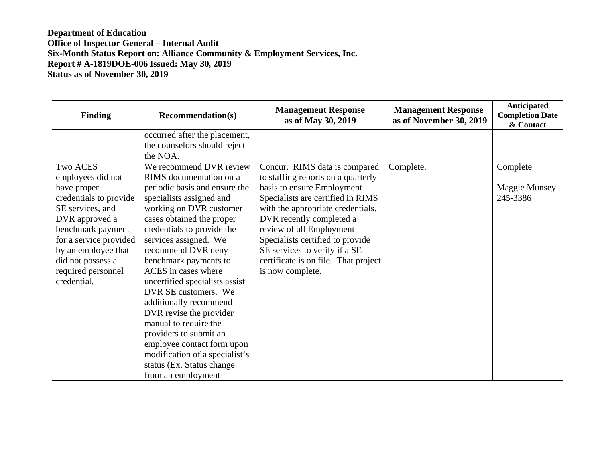| <b>Finding</b>                                                                                                                                                                                                                       | <b>Recommendation(s)</b>                                                                                                                                                                                                                                                                             | <b>Management Response</b><br>as of May 30, 2019                                                                                                                                                                                                                                                                                                                     | <b>Management Response</b><br>as of November 30, 2019 | Anticipated<br><b>Completion Date</b><br>& Contact |
|--------------------------------------------------------------------------------------------------------------------------------------------------------------------------------------------------------------------------------------|------------------------------------------------------------------------------------------------------------------------------------------------------------------------------------------------------------------------------------------------------------------------------------------------------|----------------------------------------------------------------------------------------------------------------------------------------------------------------------------------------------------------------------------------------------------------------------------------------------------------------------------------------------------------------------|-------------------------------------------------------|----------------------------------------------------|
|                                                                                                                                                                                                                                      | occurred after the placement,<br>the counselors should reject<br>the NOA.                                                                                                                                                                                                                            |                                                                                                                                                                                                                                                                                                                                                                      |                                                       |                                                    |
| <b>Two ACES</b><br>employees did not<br>have proper<br>credentials to provide<br>SE services, and<br>DVR approved a<br>benchmark payment<br>for a service provided<br>by an employee that<br>did not possess a<br>required personnel | We recommend DVR review<br>RIMS documentation on a<br>periodic basis and ensure the<br>specialists assigned and<br>working on DVR customer<br>cases obtained the proper<br>credentials to provide the<br>services assigned. We<br>recommend DVR deny<br>benchmark payments to<br>ACES in cases where | Concur. RIMS data is compared<br>to staffing reports on a quarterly<br>basis to ensure Employment<br>Specialists are certified in RIMS<br>with the appropriate credentials.<br>DVR recently completed a<br>review of all Employment<br>Specialists certified to provide<br>SE services to verify if a SE<br>certificate is on file. That project<br>is now complete. | Complete.                                             | Complete<br>Maggie Munsey<br>245-3386              |
| credential.                                                                                                                                                                                                                          | uncertified specialists assist<br>DVR SE customers. We<br>additionally recommend<br>DVR revise the provider<br>manual to require the<br>providers to submit an<br>employee contact form upon<br>modification of a specialist's<br>status (Ex. Status change<br>from an employment                    |                                                                                                                                                                                                                                                                                                                                                                      |                                                       |                                                    |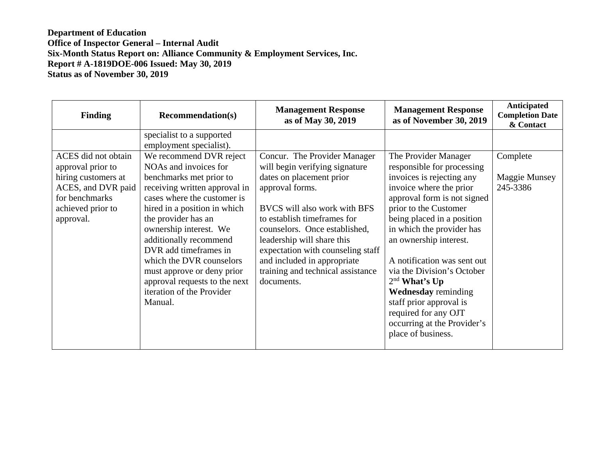| <b>Finding</b>                                                                                                                            | <b>Recommendation(s)</b>                                                                                                                                                                                                                                                                                       | <b>Management Response</b><br>as of May 30, 2019                                                                                                                                                                                            | <b>Management Response</b><br>as of November 30, 2019                                                                                                                                                                                                   | Anticipated<br><b>Completion Date</b><br>& Contact |
|-------------------------------------------------------------------------------------------------------------------------------------------|----------------------------------------------------------------------------------------------------------------------------------------------------------------------------------------------------------------------------------------------------------------------------------------------------------------|---------------------------------------------------------------------------------------------------------------------------------------------------------------------------------------------------------------------------------------------|---------------------------------------------------------------------------------------------------------------------------------------------------------------------------------------------------------------------------------------------------------|----------------------------------------------------|
| ACES did not obtain<br>approval prior to<br>hiring customers at<br>ACES, and DVR paid<br>for benchmarks<br>achieved prior to<br>approval. | specialist to a supported<br>employment specialist).<br>We recommend DVR reject<br>NOAs and invoices for<br>benchmarks met prior to<br>receiving written approval in<br>cases where the customer is<br>hired in a position in which<br>the provider has an<br>ownership interest. We<br>additionally recommend | Concur. The Provider Manager<br>will begin verifying signature<br>dates on placement prior<br>approval forms.<br>BVCS will also work with BFS<br>to establish timeframes for<br>counselors. Once established,<br>leadership will share this | The Provider Manager<br>responsible for processing<br>invoices is rejecting any<br>invoice where the prior<br>approval form is not signed<br>prior to the Customer<br>being placed in a position<br>in which the provider has<br>an ownership interest. | Complete<br>Maggie Munsey<br>245-3386              |
|                                                                                                                                           | DVR add timeframes in<br>which the DVR counselors<br>must approve or deny prior<br>approval requests to the next<br>iteration of the Provider<br>Manual.                                                                                                                                                       | expectation with counseling staff<br>and included in appropriate<br>training and technical assistance<br>documents.                                                                                                                         | A notification was sent out<br>via the Division's October<br>2 <sup>nd</sup> What's Up<br><b>Wednesday</b> reminding<br>staff prior approval is<br>required for any OJT<br>occurring at the Provider's<br>place of business.                            |                                                    |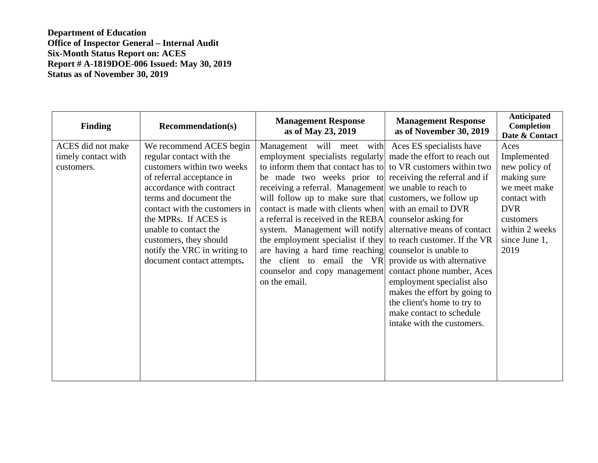**Department of Education Office of Inspector General – Internal Audit Six-Month Status Report on: ACES Report # A-1819DOE-006 Issued: May 30, 2019 Status as of November 30, 2019** 

| Finding                                                | <b>Recommendation(s)</b>                                                                                                                                                                                                                                                                                                                       | <b>Management Response</b><br>as of May 23, 2019                                                                                                                                                                                                                                                                                                                                                                                                                                                                                                                                                                                                            | <b>Management Response</b><br>as of November 30, 2019                                                                                                                                                                                                                                                                                      | Anticipated<br>Completion<br>Date & Contact                                                                                                               |
|--------------------------------------------------------|------------------------------------------------------------------------------------------------------------------------------------------------------------------------------------------------------------------------------------------------------------------------------------------------------------------------------------------------|-------------------------------------------------------------------------------------------------------------------------------------------------------------------------------------------------------------------------------------------------------------------------------------------------------------------------------------------------------------------------------------------------------------------------------------------------------------------------------------------------------------------------------------------------------------------------------------------------------------------------------------------------------------|--------------------------------------------------------------------------------------------------------------------------------------------------------------------------------------------------------------------------------------------------------------------------------------------------------------------------------------------|-----------------------------------------------------------------------------------------------------------------------------------------------------------|
| ACES did not make<br>timely contact with<br>customers. | We recommend ACES begin<br>regular contact with the<br>customers within two weeks<br>of referral acceptance in<br>accordance with contract<br>terms and document the<br>contact with the customers in<br>the MPRs. If ACES is<br>unable to contact the<br>customers, they should<br>notify the VRC in writing to<br>document contact attempts. | Management will meet with<br>employment specialists regularly made the effort to reach out<br>to inform them that contact has to<br>be made two weeks prior to receiving the referral and if<br>receiving a referral. Management we unable to reach to<br>will follow up to make sure that customers, we follow up<br>contact is made with clients when with an email to DVR<br>a referral is received in the REBA counselor asking for<br>system. Management will notify<br>the employment specialist if they<br>are having a hard time reaching counselor is unable to<br>client to email the VR<br>the<br>counselor and copy management<br>on the email. | Aces ES specialists have<br>to VR customers within two<br>alternative means of contact<br>to reach customer. If the VR<br>provide us with alternative<br>contact phone number, Aces<br>employment specialist also<br>makes the effort by going to<br>the client's home to try to<br>make contact to schedule<br>intake with the customers. | Aces<br>Implemented<br>new policy of<br>making sure<br>we meet make<br>contact with<br><b>DVR</b><br>customers<br>within 2 weeks<br>since June 1,<br>2019 |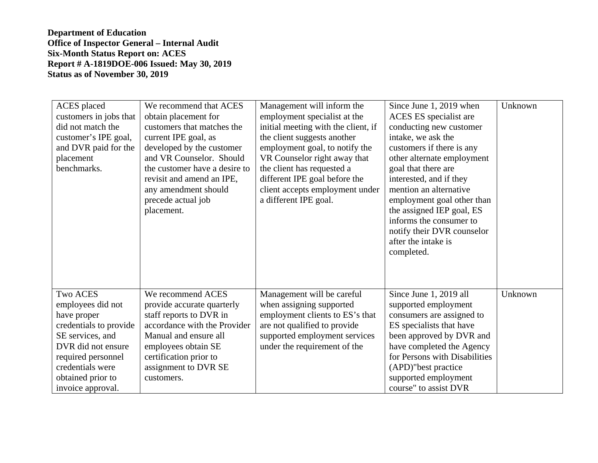**Department of Education Office of Inspector General – Internal Audit Six-Month Status Report on: ACES Report # A-1819DOE-006 Issued: May 30, 2019 Status as of November 30, 2019** 

| <b>ACES</b> placed<br>customers in jobs that<br>did not match the<br>customer's IPE goal,<br>and DVR paid for the<br>placement<br>benchmarks.                                                               | We recommend that ACES<br>obtain placement for<br>customers that matches the<br>current IPE goal, as<br>developed by the customer<br>and VR Counselor. Should<br>the customer have a desire to<br>revisit and amend an IPE,<br>any amendment should<br>precede actual job<br>placement. | Management will inform the<br>employment specialist at the<br>initial meeting with the client, if<br>the client suggests another<br>employment goal, to notify the<br>VR Counselor right away that<br>the client has requested a<br>different IPE goal before the<br>client accepts employment under<br>a different IPE goal. | Since June 1, 2019 when<br>ACES ES specialist are<br>conducting new customer<br>intake, we ask the<br>customers if there is any<br>other alternate employment<br>goal that there are<br>interested, and if they<br>mention an alternative<br>employment goal other than<br>the assigned IEP goal, ES<br>informs the consumer to<br>notify their DVR counselor<br>after the intake is<br>completed. | Unknown |
|-------------------------------------------------------------------------------------------------------------------------------------------------------------------------------------------------------------|-----------------------------------------------------------------------------------------------------------------------------------------------------------------------------------------------------------------------------------------------------------------------------------------|-------------------------------------------------------------------------------------------------------------------------------------------------------------------------------------------------------------------------------------------------------------------------------------------------------------------------------|----------------------------------------------------------------------------------------------------------------------------------------------------------------------------------------------------------------------------------------------------------------------------------------------------------------------------------------------------------------------------------------------------|---------|
| <b>Two ACES</b><br>employees did not<br>have proper<br>credentials to provide<br>SE services, and<br>DVR did not ensure<br>required personnel<br>credentials were<br>obtained prior to<br>invoice approval. | We recommend ACES<br>provide accurate quarterly<br>staff reports to DVR in<br>accordance with the Provider<br>Manual and ensure all<br>employees obtain SE<br>certification prior to<br>assignment to DVR SE<br>customers.                                                              | Management will be careful<br>when assigning supported<br>employment clients to ES's that<br>are not qualified to provide<br>supported employment services<br>under the requirement of the                                                                                                                                    | Since June 1, 2019 all<br>supported employment<br>consumers are assigned to<br>ES specialists that have<br>been approved by DVR and<br>have completed the Agency<br>for Persons with Disabilities<br>(APD)"best practice<br>supported employment<br>course" to assist DVR                                                                                                                          | Unknown |